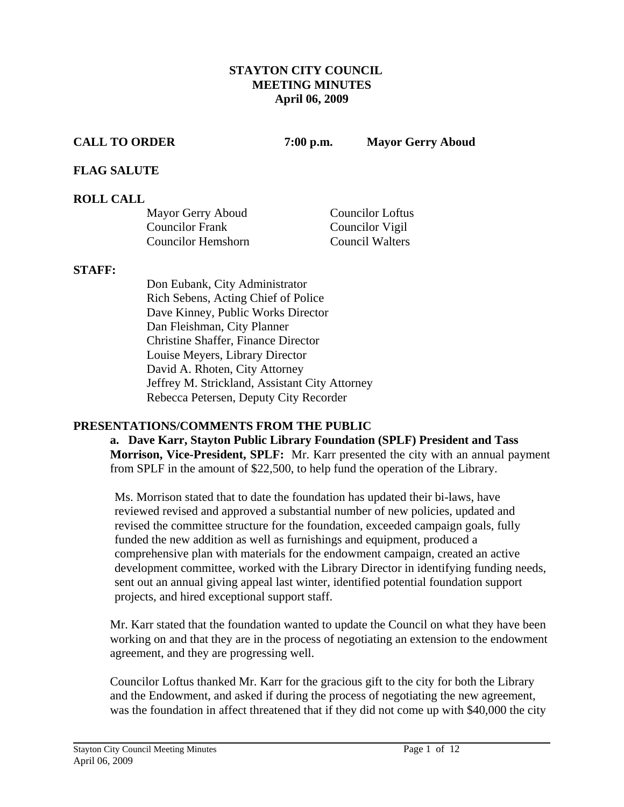#### **STAYTON CITY COUNCIL MEETING MINUTES April 06, 2009**

**CALL TO ORDER 7:00 p.m. Mayor Gerry Aboud** 

### **FLAG SALUTE**

#### **ROLL CALL**

| Mayor Gerry Aboud         | <b>Councilor Loftus</b> |
|---------------------------|-------------------------|
| <b>Councilor Frank</b>    | Councilor Vigil         |
| <b>Councilor Hemshorn</b> | <b>Council Walters</b>  |

#### **STAFF:**

Don Eubank, City Administrator Rich Sebens, Acting Chief of Police Dave Kinney, Public Works Director Dan Fleishman, City Planner Christine Shaffer, Finance Director Louise Meyers, Library Director David A. Rhoten, City Attorney Jeffrey M. Strickland, Assistant City Attorney Rebecca Petersen, Deputy City Recorder

#### **PRESENTATIONS/COMMENTS FROM THE PUBLIC**

**a. Dave Karr, Stayton Public Library Foundation (SPLF) President and Tass Morrison, Vice-President, SPLF:** Mr. Karr presented the city with an annual payment from SPLF in the amount of \$22,500, to help fund the operation of the Library.

Ms. Morrison stated that to date the foundation has updated their bi-laws, have reviewed revised and approved a substantial number of new policies, updated and revised the committee structure for the foundation, exceeded campaign goals, fully funded the new addition as well as furnishings and equipment, produced a comprehensive plan with materials for the endowment campaign, created an active development committee, worked with the Library Director in identifying funding needs, sent out an annual giving appeal last winter, identified potential foundation support projects, and hired exceptional support staff.

Mr. Karr stated that the foundation wanted to update the Council on what they have been working on and that they are in the process of negotiating an extension to the endowment agreement, and they are progressing well.

Councilor Loftus thanked Mr. Karr for the gracious gift to the city for both the Library and the Endowment, and asked if during the process of negotiating the new agreement, was the foundation in affect threatened that if they did not come up with \$40,000 the city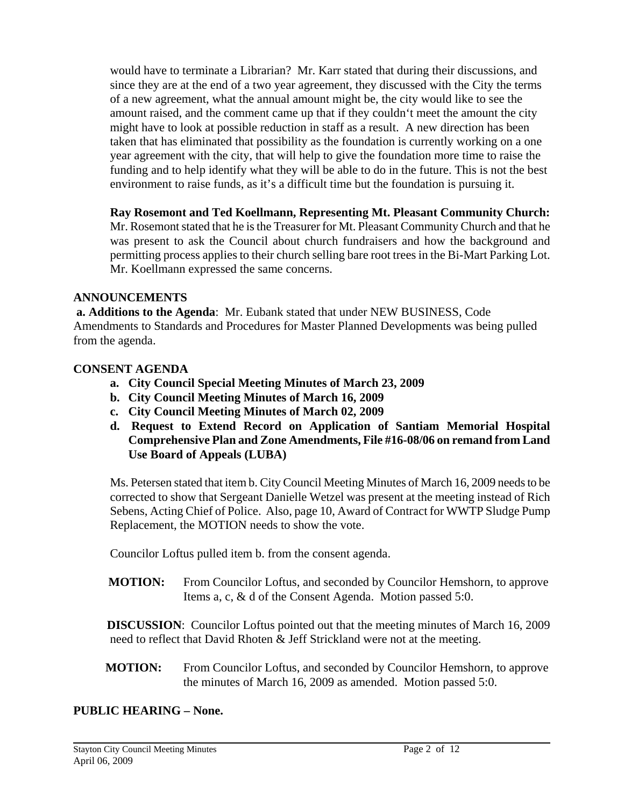would have to terminate a Librarian? Mr. Karr stated that during their discussions, and since they are at the end of a two year agreement, they discussed with the City the terms of a new agreement, what the annual amount might be, the city would like to see the amount raised, and the comment came up that if they couldn't meet the amount the city might have to look at possible reduction in staff as a result. A new direction has been taken that has eliminated that possibility as the foundation is currently working on a one year agreement with the city, that will help to give the foundation more time to raise the funding and to help identify what they will be able to do in the future. This is not the best environment to raise funds, as it's a difficult time but the foundation is pursuing it.

 **Ray Rosemont and Ted Koellmann, Representing Mt. Pleasant Community Church:**  Mr. Rosemont stated that he is the Treasurer for Mt. Pleasant Community Church and that he was present to ask the Council about church fundraisers and how the background and permitting process applies to their church selling bare root trees in the Bi-Mart Parking Lot. Mr. Koellmann expressed the same concerns.

### **ANNOUNCEMENTS**

 **a. Additions to the Agenda**: Mr. Eubank stated that under NEW BUSINESS, Code Amendments to Standards and Procedures for Master Planned Developments was being pulled from the agenda.

### **CONSENT AGENDA**

- **a. City Council Special Meeting Minutes of March 23, 2009**
- **b. City Council Meeting Minutes of March 16, 2009**
- **c. City Council Meeting Minutes of March 02, 2009**
- **d. Request to Extend Record on Application of Santiam Memorial Hospital Comprehensive Plan and Zone Amendments, File #16-08/06 on remand from Land Use Board of Appeals (LUBA)**

 Ms. Petersen stated that item b. City Council Meeting Minutes of March 16, 2009 needs to be corrected to show that Sergeant Danielle Wetzel was present at the meeting instead of Rich Sebens, Acting Chief of Police. Also, page 10, Award of Contract for WWTP Sludge Pump Replacement, the MOTION needs to show the vote.

Councilor Loftus pulled item b. from the consent agenda.

**MOTION:** From Councilor Loftus, and seconded by Councilor Hemshorn, to approve Items a, c, & d of the Consent Agenda. Motion passed 5:0.

 **DISCUSSION**: Councilor Loftus pointed out that the meeting minutes of March 16, 2009 need to reflect that David Rhoten & Jeff Strickland were not at the meeting.

**MOTION:** From Councilor Loftus, and seconded by Councilor Hemshorn, to approve the minutes of March 16, 2009 as amended. Motion passed 5:0.

## **PUBLIC HEARING – None.**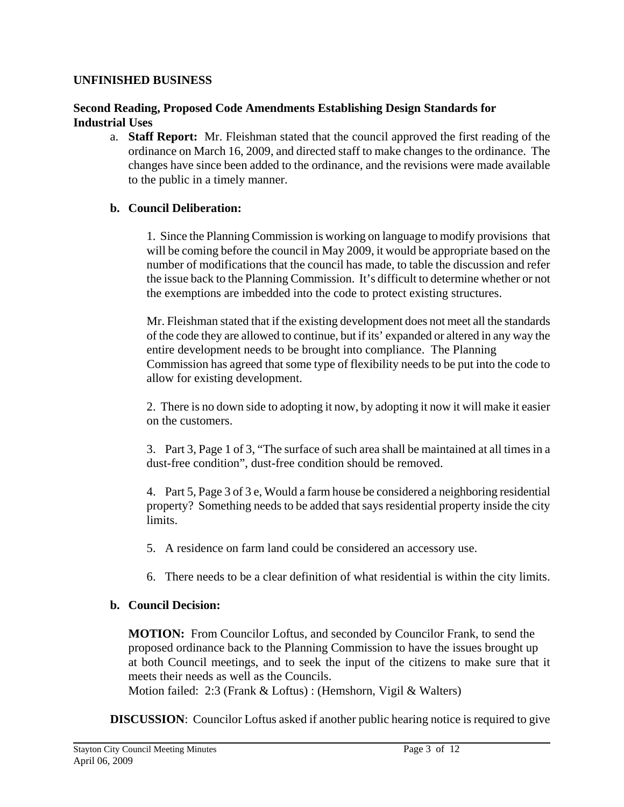#### **UNFINISHED BUSINESS**

### **Second Reading, Proposed Code Amendments Establishing Design Standards for Industrial Uses**

a. **Staff Report:** Mr. Fleishman stated that the council approved the first reading of the ordinance on March 16, 2009, and directed staff to make changes to the ordinance. The changes have since been added to the ordinance, and the revisions were made available to the public in a timely manner.

## **b. Council Deliberation:**

1. Since the Planning Commission is working on language to modify provisions that will be coming before the council in May 2009, it would be appropriate based on the number of modifications that the council has made, to table the discussion and refer the issue back to the Planning Commission. It's difficult to determine whether or not the exemptions are imbedded into the code to protect existing structures.

Mr. Fleishman stated that if the existing development does not meet all the standards of the code they are allowed to continue, but if its' expanded or altered in any way the entire development needs to be brought into compliance. The Planning Commission has agreed that some type of flexibility needs to be put into the code to allow for existing development.

 2. There is no down side to adopting it now, by adopting it now it will make it easier on the customers.

3. Part 3, Page 1 of 3, "The surface of such area shall be maintained at all times in a dust-free condition", dust-free condition should be removed.

4. Part 5, Page 3 of 3 e, Would a farm house be considered a neighboring residential property? Something needs to be added that says residential property inside the city limits.

5. A residence on farm land could be considered an accessory use.

6. There needs to be a clear definition of what residential is within the city limits.

## **b. Council Decision:**

**MOTION:** From Councilor Loftus, and seconded by Councilor Frank, to send the proposed ordinance back to the Planning Commission to have the issues brought up at both Council meetings, and to seek the input of the citizens to make sure that it meets their needs as well as the Councils.

Motion failed: 2:3 (Frank & Loftus) : (Hemshorn, Vigil & Walters)

**DISCUSSION**: Councilor Loftus asked if another public hearing notice is required to give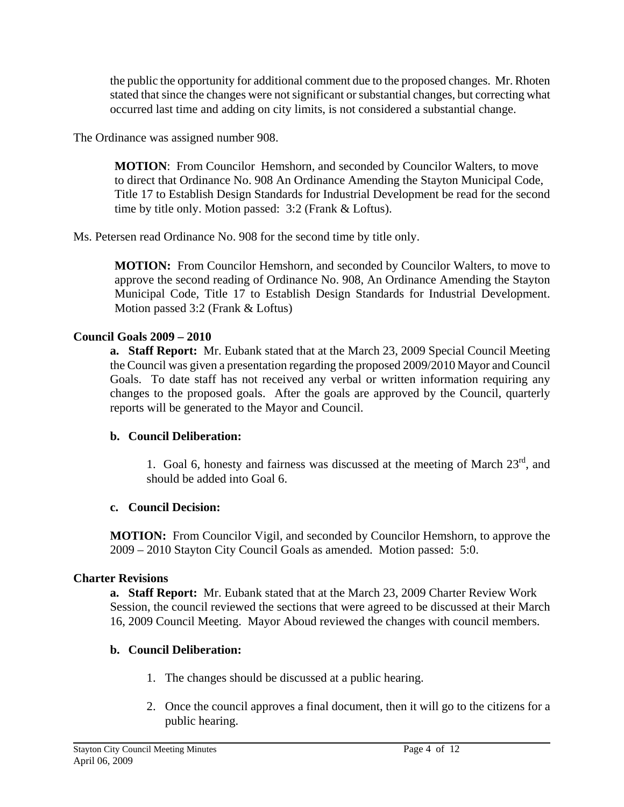the public the opportunity for additional comment due to the proposed changes. Mr. Rhoten stated that since the changes were not significant or substantial changes, but correcting what occurred last time and adding on city limits, is not considered a substantial change.

The Ordinance was assigned number 908.

**MOTION**: From Councilor Hemshorn, and seconded by Councilor Walters, to move to direct that Ordinance No. 908 An Ordinance Amending the Stayton Municipal Code, Title 17 to Establish Design Standards for Industrial Development be read for the second time by title only. Motion passed: 3:2 (Frank & Loftus).

Ms. Petersen read Ordinance No. 908 for the second time by title only.

**MOTION:** From Councilor Hemshorn, and seconded by Councilor Walters, to move to approve the second reading of Ordinance No. 908, An Ordinance Amending the Stayton Municipal Code, Title 17 to Establish Design Standards for Industrial Development. Motion passed 3:2 (Frank & Loftus)

# **Council Goals 2009 – 2010**

**a. Staff Report:** Mr. Eubank stated that at the March 23, 2009 Special Council Meeting the Council was given a presentation regarding the proposed 2009/2010 Mayor and Council Goals. To date staff has not received any verbal or written information requiring any changes to the proposed goals. After the goals are approved by the Council, quarterly reports will be generated to the Mayor and Council.

# **b. Council Deliberation:**

1. Goal 6, honesty and fairness was discussed at the meeting of March  $23<sup>rd</sup>$ , and should be added into Goal 6.

# **c. Council Decision:**

 **MOTION:** From Councilor Vigil, and seconded by Councilor Hemshorn, to approve the 2009 – 2010 Stayton City Council Goals as amended. Motion passed: 5:0.

# **Charter Revisions**

**a. Staff Report:** Mr. Eubank stated that at the March 23, 2009 Charter Review Work Session, the council reviewed the sections that were agreed to be discussed at their March 16, 2009 Council Meeting. Mayor Aboud reviewed the changes with council members.

# **b. Council Deliberation:**

- 1. The changes should be discussed at a public hearing.
- 2. Once the council approves a final document, then it will go to the citizens for a public hearing.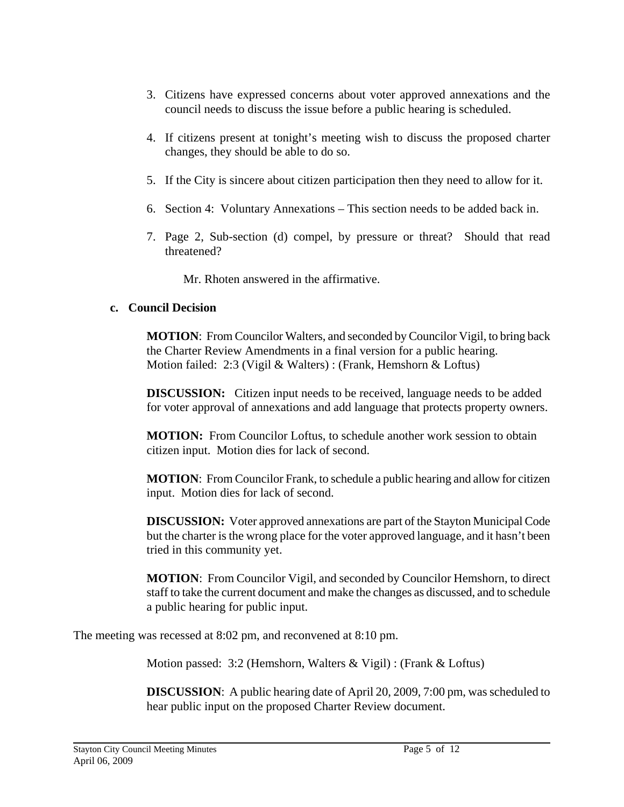- 3. Citizens have expressed concerns about voter approved annexations and the council needs to discuss the issue before a public hearing is scheduled.
- 4. If citizens present at tonight's meeting wish to discuss the proposed charter changes, they should be able to do so.
- 5. If the City is sincere about citizen participation then they need to allow for it.
- 6. Section 4: Voluntary Annexations This section needs to be added back in.
- 7. Page 2, Sub-section (d) compel, by pressure or threat? Should that read threatened?

Mr. Rhoten answered in the affirmative.

#### **c. Council Decision**

 **MOTION**: From Councilor Walters, and seconded by Councilor Vigil, to bring back the Charter Review Amendments in a final version for a public hearing. Motion failed: 2:3 (Vigil & Walters) : (Frank, Hemshorn & Loftus)

**DISCUSSION:** Citizen input needs to be received, language needs to be added for voter approval of annexations and add language that protects property owners.

 **MOTION:** From Councilor Loftus, to schedule another work session to obtain citizen input. Motion dies for lack of second.

 **MOTION**: From Councilor Frank, to schedule a public hearing and allow for citizen input. Motion dies for lack of second.

 **DISCUSSION:** Voter approved annexations are part of the Stayton Municipal Code but the charter is the wrong place for the voter approved language, and it hasn't been tried in this community yet.

 **MOTION**: From Councilor Vigil, and seconded by Councilor Hemshorn, to direct staff to take the current document and make the changes as discussed, and to schedule a public hearing for public input.

The meeting was recessed at 8:02 pm, and reconvened at 8:10 pm.

Motion passed: 3:2 (Hemshorn, Walters & Vigil) : (Frank & Loftus)

 **DISCUSSION**: A public hearing date of April 20, 2009, 7:00 pm, was scheduled to hear public input on the proposed Charter Review document.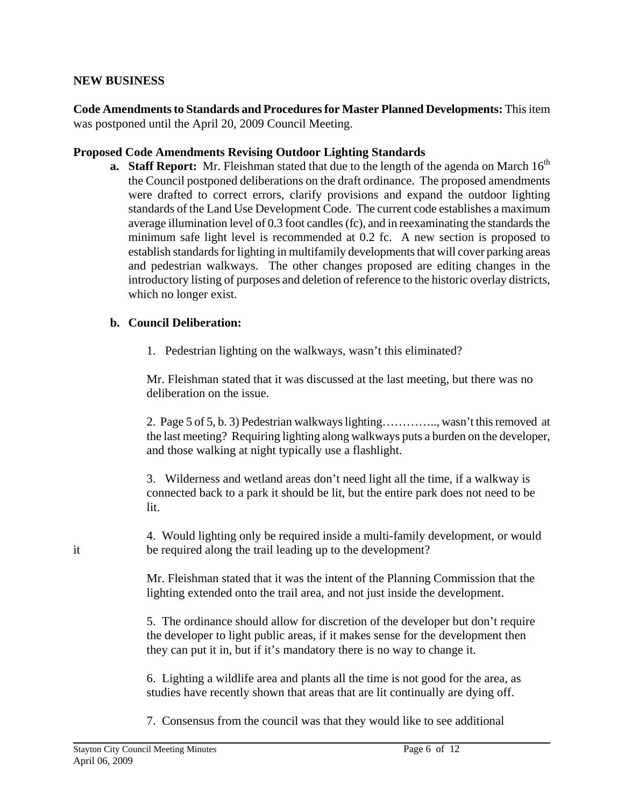#### **NEW BUSINESS**

**Code Amendments to Standards and Procedures for Master Planned Developments:** This item was postponed until the April 20, 2009 Council Meeting.

#### **Proposed Code Amendments Revising Outdoor Lighting Standards**

**a. Staff Report:** Mr. Fleishman stated that due to the length of the agenda on March 16<sup>th</sup> the Council postponed deliberations on the draft ordinance. The proposed amendments were drafted to correct errors, clarify provisions and expand the outdoor lighting standards of the Land Use Development Code. The current code establishes a maximum average illumination level of 0.3 foot candles (fc), and in reexaminating the standards the minimum safe light level is recommended at 0.2 fc. A new section is proposed to establish standards for lighting in multifamily developments that will cover parking areas and pedestrian walkways. The other changes proposed are editing changes in the introductory listing of purposes and deletion of reference to the historic overlay districts, which no longer exist.

#### **b. Council Deliberation:**

1. Pedestrian lighting on the walkways, wasn't this eliminated?

 Mr. Fleishman stated that it was discussed at the last meeting, but there was no deliberation on the issue.

 2. Page 5 of 5, b. 3) Pedestrian walkways lighting………….., wasn't this removed at the last meeting? Requiring lighting along walkways puts a burden on the developer, and those walking at night typically use a flashlight.

3. Wilderness and wetland areas don't need light all the time, if a walkway is connected back to a park it should be lit, but the entire park does not need to be lit.

 4. Would lighting only be required inside a multi-family development, or would it be required along the trail leading up to the development?

> Mr. Fleishman stated that it was the intent of the Planning Commission that the lighting extended onto the trail area, and not just inside the development.

> 5. The ordinance should allow for discretion of the developer but don't require the developer to light public areas, if it makes sense for the development then they can put it in, but if it's mandatory there is no way to change it.

6. Lighting a wildlife area and plants all the time is not good for the area, as studies have recently shown that areas that are lit continually are dying off.

7. Consensus from the council was that they would like to see additional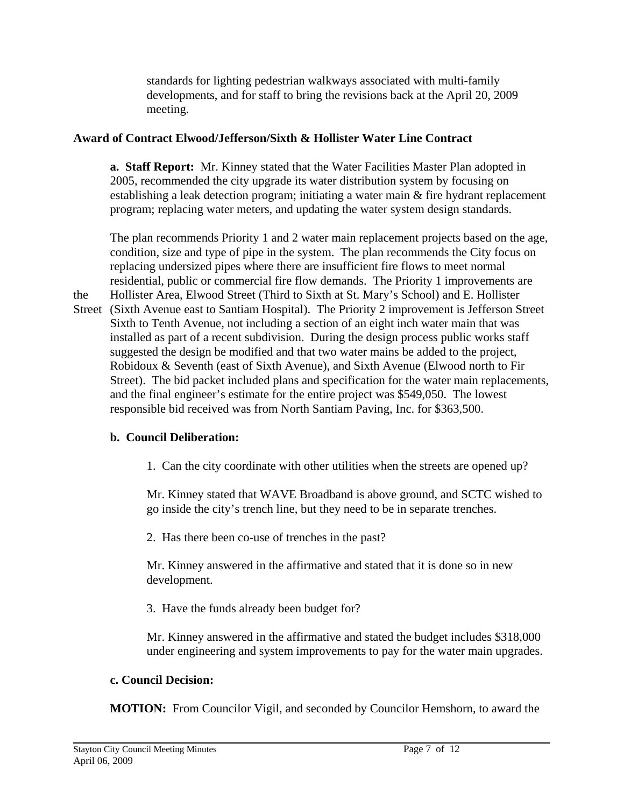standards for lighting pedestrian walkways associated with multi-family developments, and for staff to bring the revisions back at the April 20, 2009 meeting.

## **Award of Contract Elwood/Jefferson/Sixth & Hollister Water Line Contract**

 **a. Staff Report:** Mr. Kinney stated that the Water Facilities Master Plan adopted in 2005, recommended the city upgrade its water distribution system by focusing on establishing a leak detection program; initiating a water main & fire hydrant replacement program; replacing water meters, and updating the water system design standards.

 The plan recommends Priority 1 and 2 water main replacement projects based on the age, condition, size and type of pipe in the system. The plan recommends the City focus on replacing undersized pipes where there are insufficient fire flows to meet normal residential, public or commercial fire flow demands. The Priority 1 improvements are the Hollister Area, Elwood Street (Third to Sixth at St. Mary's School) and E. Hollister

Street (Sixth Avenue east to Santiam Hospital). The Priority 2 improvement is Jefferson Street Sixth to Tenth Avenue, not including a section of an eight inch water main that was installed as part of a recent subdivision. During the design process public works staff suggested the design be modified and that two water mains be added to the project, Robidoux & Seventh (east of Sixth Avenue), and Sixth Avenue (Elwood north to Fir Street). The bid packet included plans and specification for the water main replacements, and the final engineer's estimate for the entire project was \$549,050. The lowest responsible bid received was from North Santiam Paving, Inc. for \$363,500.

# **b. Council Deliberation:**

1. Can the city coordinate with other utilities when the streets are opened up?

 Mr. Kinney stated that WAVE Broadband is above ground, and SCTC wished to go inside the city's trench line, but they need to be in separate trenches.

2. Has there been co-use of trenches in the past?

 Mr. Kinney answered in the affirmative and stated that it is done so in new development.

3. Have the funds already been budget for?

 Mr. Kinney answered in the affirmative and stated the budget includes \$318,000 under engineering and system improvements to pay for the water main upgrades.

## **c. Council Decision:**

**MOTION:** From Councilor Vigil, and seconded by Councilor Hemshorn, to award the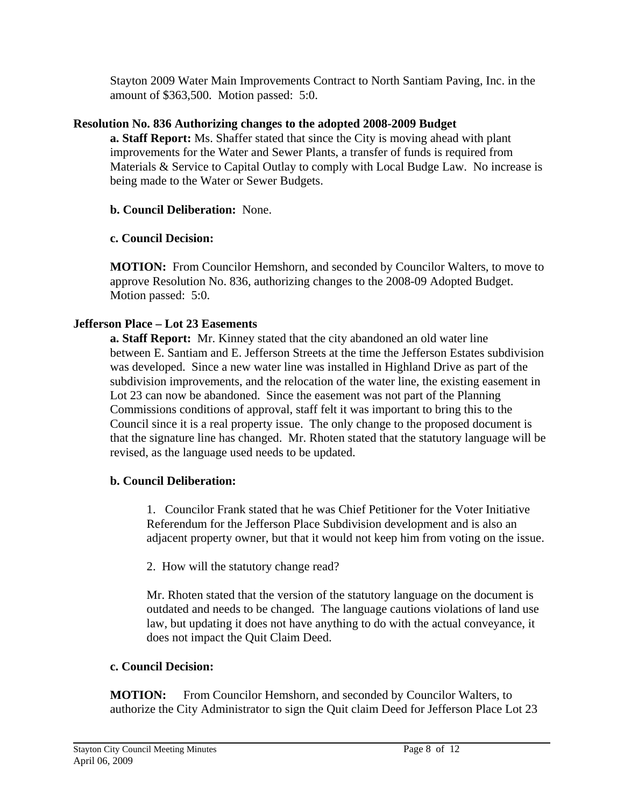Stayton 2009 Water Main Improvements Contract to North Santiam Paving, Inc. in the amount of \$363,500. Motion passed: 5:0.

## **Resolution No. 836 Authorizing changes to the adopted 2008-2009 Budget**

 **a. Staff Report:** Ms. Shaffer stated that since the City is moving ahead with plant improvements for the Water and Sewer Plants, a transfer of funds is required from Materials & Service to Capital Outlay to comply with Local Budge Law. No increase is being made to the Water or Sewer Budgets.

## **b. Council Deliberation:** None.

# **c. Council Decision:**

 **MOTION:** From Councilor Hemshorn, and seconded by Councilor Walters, to move to approve Resolution No. 836, authorizing changes to the 2008-09 Adopted Budget. Motion passed: 5:0.

# **Jefferson Place – Lot 23 Easements**

 **a. Staff Report:** Mr. Kinney stated that the city abandoned an old water line between E. Santiam and E. Jefferson Streets at the time the Jefferson Estates subdivision was developed. Since a new water line was installed in Highland Drive as part of the subdivision improvements, and the relocation of the water line, the existing easement in Lot 23 can now be abandoned. Since the easement was not part of the Planning Commissions conditions of approval, staff felt it was important to bring this to the Council since it is a real property issue. The only change to the proposed document is that the signature line has changed. Mr. Rhoten stated that the statutory language will be revised, as the language used needs to be updated.

# **b. Council Deliberation:**

1. Councilor Frank stated that he was Chief Petitioner for the Voter Initiative Referendum for the Jefferson Place Subdivision development and is also an adjacent property owner, but that it would not keep him from voting on the issue.

2. How will the statutory change read?

 Mr. Rhoten stated that the version of the statutory language on the document is outdated and needs to be changed. The language cautions violations of land use law, but updating it does not have anything to do with the actual conveyance, it does not impact the Quit Claim Deed.

## **c. Council Decision:**

 **MOTION:** From Councilor Hemshorn, and seconded by Councilor Walters, to authorize the City Administrator to sign the Quit claim Deed for Jefferson Place Lot 23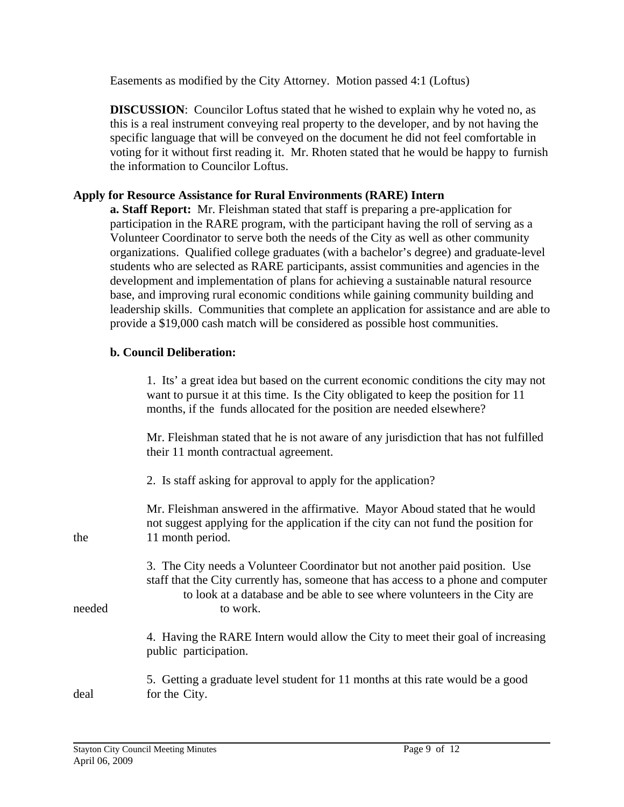Easements as modified by the City Attorney. Motion passed 4:1 (Loftus)

**DISCUSSION**: Councilor Loftus stated that he wished to explain why he voted no, as this is a real instrument conveying real property to the developer, and by not having the specific language that will be conveyed on the document he did not feel comfortable in voting for it without first reading it. Mr. Rhoten stated that he would be happy to furnish the information to Councilor Loftus.

## **Apply for Resource Assistance for Rural Environments (RARE) Intern**

 **a. Staff Report:** Mr. Fleishman stated that staff is preparing a pre-application for participation in the RARE program, with the participant having the roll of serving as a Volunteer Coordinator to serve both the needs of the City as well as other community organizations. Qualified college graduates (with a bachelor's degree) and graduate-level students who are selected as RARE participants, assist communities and agencies in the development and implementation of plans for achieving a sustainable natural resource base, and improving rural economic conditions while gaining community building and leadership skills. Communities that complete an application for assistance and are able to provide a \$19,000 cash match will be considered as possible host communities.

## **b. Council Deliberation:**

 1. Its' a great idea but based on the current economic conditions the city may not want to pursue it at this time. Is the City obligated to keep the position for 11 months, if the funds allocated for the position are needed elsewhere?

 Mr. Fleishman stated that he is not aware of any jurisdiction that has not fulfilled their 11 month contractual agreement.

2. Is staff asking for approval to apply for the application?

 Mr. Fleishman answered in the affirmative. Mayor Aboud stated that he would not suggest applying for the application if the city can not fund the position for the 11 month period.

3. The City needs a Volunteer Coordinator but not another paid position. Use staff that the City currently has, someone that has access to a phone and computer to look at a database and be able to see where volunteers in the City are needed to work.

> 4. Having the RARE Intern would allow the City to meet their goal of increasing public participation.

 5. Getting a graduate level student for 11 months at this rate would be a good deal for the City.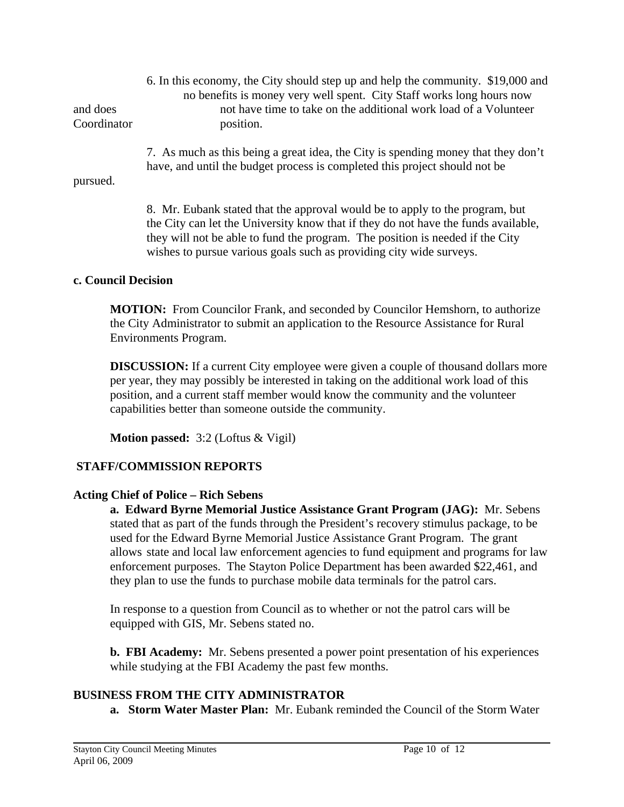6. In this economy, the City should step up and help the community. \$19,000 and no benefits is money very well spent. City Staff works long hours now and does not have time to take on the additional work load of a Volunteer Coordinator position.

> 7. As much as this being a great idea, the City is spending money that they don't have, and until the budget process is completed this project should not be

#### pursued.

8. Mr. Eubank stated that the approval would be to apply to the program, but the City can let the University know that if they do not have the funds available, they will not be able to fund the program. The position is needed if the City wishes to pursue various goals such as providing city wide surveys.

### **c. Council Decision**

 **MOTION:** From Councilor Frank, and seconded by Councilor Hemshorn, to authorize the City Administrator to submit an application to the Resource Assistance for Rural Environments Program.

**DISCUSSION:** If a current City employee were given a couple of thousand dollars more per year, they may possibly be interested in taking on the additional work load of this position, and a current staff member would know the community and the volunteer capabilities better than someone outside the community.

 **Motion passed:** 3:2 (Loftus & Vigil)

# **STAFF/COMMISSION REPORTS**

## **Acting Chief of Police – Rich Sebens**

 **a. Edward Byrne Memorial Justice Assistance Grant Program (JAG):** Mr. Sebens stated that as part of the funds through the President's recovery stimulus package, to be used for the Edward Byrne Memorial Justice Assistance Grant Program. The grant allows state and local law enforcement agencies to fund equipment and programs for law enforcement purposes. The Stayton Police Department has been awarded \$22,461, and they plan to use the funds to purchase mobile data terminals for the patrol cars.

In response to a question from Council as to whether or not the patrol cars will be equipped with GIS, Mr. Sebens stated no.

 **b. FBI Academy:** Mr. Sebens presented a power point presentation of his experiences while studying at the FBI Academy the past few months.

# **BUSINESS FROM THE CITY ADMINISTRATOR**

**a. Storm Water Master Plan:** Mr. Eubank reminded the Council of the Storm Water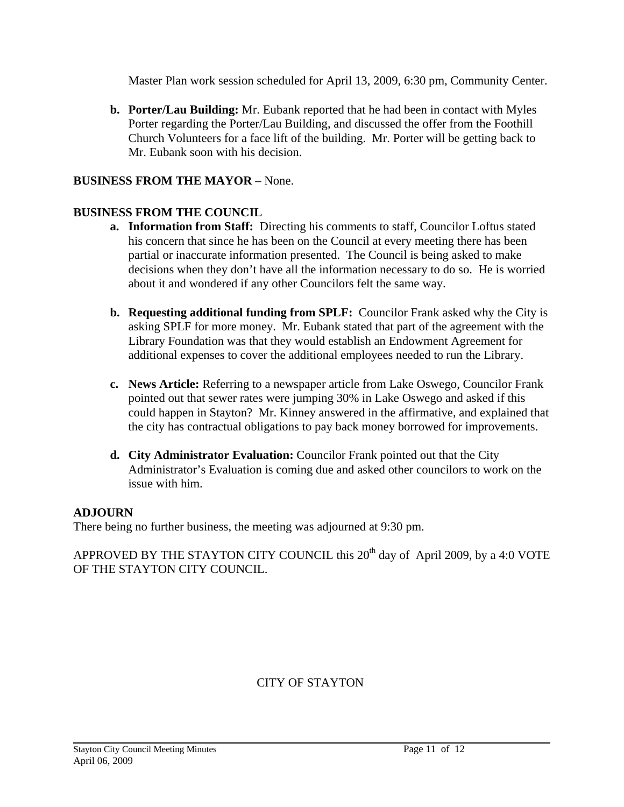Master Plan work session scheduled for April 13, 2009, 6:30 pm, Community Center.

**b. Porter/Lau Building:** Mr. Eubank reported that he had been in contact with Myles Porter regarding the Porter/Lau Building, and discussed the offer from the Foothill Church Volunteers for a face lift of the building. Mr. Porter will be getting back to Mr. Eubank soon with his decision.

## **BUSINESS FROM THE MAYOR** – None.

## **BUSINESS FROM THE COUNCIL**

- **a. Information from Staff:** Directing his comments to staff, Councilor Loftus stated his concern that since he has been on the Council at every meeting there has been partial or inaccurate information presented. The Council is being asked to make decisions when they don't have all the information necessary to do so. He is worried about it and wondered if any other Councilors felt the same way.
- **b. Requesting additional funding from SPLF:** Councilor Frank asked why the City is asking SPLF for more money. Mr. Eubank stated that part of the agreement with the Library Foundation was that they would establish an Endowment Agreement for additional expenses to cover the additional employees needed to run the Library.
- **c. News Article:** Referring to a newspaper article from Lake Oswego, Councilor Frank pointed out that sewer rates were jumping 30% in Lake Oswego and asked if this could happen in Stayton? Mr. Kinney answered in the affirmative, and explained that the city has contractual obligations to pay back money borrowed for improvements.
- **d. City Administrator Evaluation:** Councilor Frank pointed out that the City Administrator's Evaluation is coming due and asked other councilors to work on the issue with him.

## **ADJOURN**

There being no further business, the meeting was adjourned at 9:30 pm.

APPROVED BY THE STAYTON CITY COUNCIL this  $20<sup>th</sup>$  day of April 2009, by a 4:0 VOTE OF THE STAYTON CITY COUNCIL.

## CITY OF STAYTON